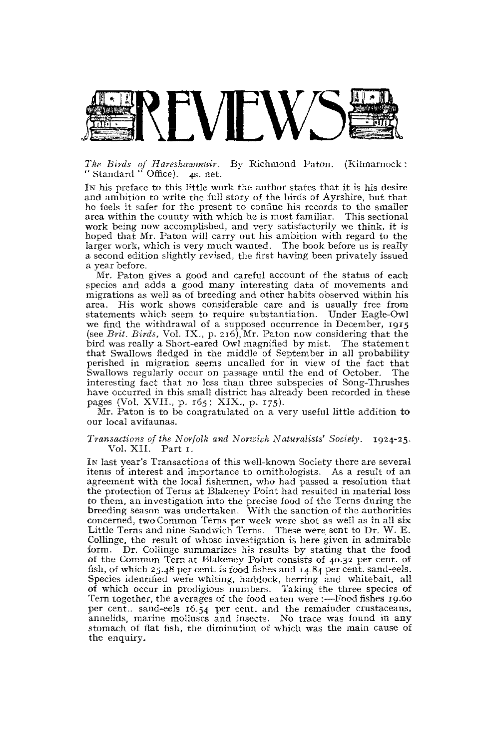

## *The Birds of Hareshawmuir.* By Richmond Paton. (Kilmarnock : " Standard " Office). 4s. net.

In his preface to this little work the author states that it is his desire and ambition to write the full story of the birds of Ayrshire, but that he feels it safer for the present to confine his records to the smaller area within the county with which he is most familiar. This sectional work being now accomplished, and very satisfactorily we think, it is hoped that Mr. Paton will carry out his ambition with regard to the larger work, which is very much wanted. The book before us is really a second edition slightly revised, the first having been privately issued a year before.

Mr. Paton gives a good and careful account of the status of each species and adds a good many interesting data of movements and migrations as well as of breeding and other habits observed within his area. His work shows considerable care and is usually free from statements which seem to require substantiation. Under Eagle-Owl we find the withdrawal of a supposed occurrence in December, 1915 (see Brit. Birds, Vol. IX., p. 216), Mr. Paton now considering that the bird was really a Short-eared Owl magnified by mist. The statement that Swallows fledged in the middle of September in all probability perished in migration seems uncalled for in view of the fact that Swallows regularly occur on passage until the end of October. The interesting fact that no less than three subspecies of Song-Thrushes have occurred in this small district has already been recorded in these pages (Vol. XVII., p. 165; XIX., p. 175).

Mr. Paton is to be congratulated on a very useful little addition to our local avifaunas.

## *Transactions of the Norfolk and Norwich Naturalists' Society.* 1924-25. Vol. XII. Part 1.

IN last year's Transactions of this well-known Society there are several items of interest and importance to ornithologists. As a result of an agreement with the local fishermen, who had passed a resolution that the protection of Terns at Blakeney Point had resulted in material loss to them, an investigation into the precise food of the Terns during the breeding season was undertaken. With the sanction of the authorities concerned, two Common Terns per week were shot as well as in all six Little Terns and nine Sandwich Terns. These were sent to Dr. W. E. Collinge, the result of whose investigation is here given in admirable form. Dr. Collinge summarizes his results by stating that the food of the Common Tern at Blakeney Point consists of 40.32 per cent, of fish, of which 25.48 per cent, is food fishes and 14.84 per cent, sand-eels. Species identified were whiting, haddock, herring and whitebait, all of which occur in prodigious numbers. Taking the three species of Tern together, the averages of the food eaten were :—Food fishes 19.60 per cent., sand-eels 16.54 per cent. and the remainder crustaceans, annelids, marine molluscs and insects. No trace was found in any stomach of flat fish, the diminution of which was the main cause of the enquiry.